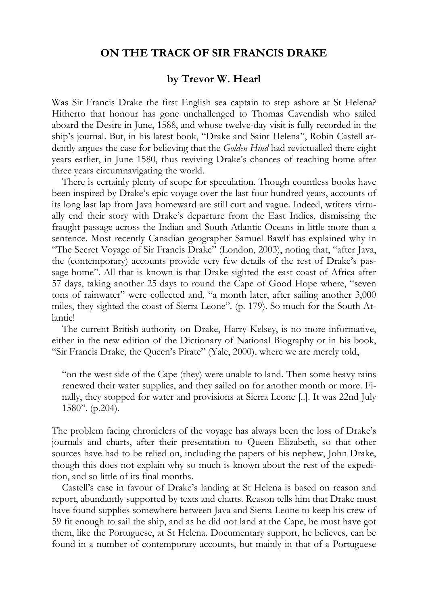## **ON THE TRACK OF SIR FRANCIS DRAKE**

## **by Trevor W. Hearl**

Was Sir Francis Drake the first English sea captain to step ashore at St Helena? Hitherto that honour has gone unchallenged to Thomas Cavendish who sailed aboard the Desire in June, 1588, and whose twelve-day visit is fully recorded in the ship's journal. But, in his latest book, "Drake and Saint Helena", Robin Castell ardently argues the case for believing that the *Golden Hind* had revictualled there eight years earlier, in June 1580, thus reviving Drake's chances of reaching home after three years circumnavigating the world.

There is certainly plenty of scope for speculation. Though countless books have been inspired by Drake's epic voyage over the last four hundred years, accounts of its long last lap from Java homeward are still curt and vague. Indeed, writers virtually end their story with Drake's departure from the East Indies, dismissing the fraught passage across the Indian and South Atlantic Oceans in little more than a sentence. Most recently Canadian geographer Samuel Bawlf has explained why in "The Secret Voyage of Sir Francis Drake" (London, 2003), noting that, "after Java, the (contemporary) accounts provide very few details of the rest of Drake's passage home". All that is known is that Drake sighted the east coast of Africa after 57 days, taking another 25 days to round the Cape of Good Hope where, "seven tons of rainwater" were collected and, "a month later, after sailing another 3,000 miles, they sighted the coast of Sierra Leone". (p. 179). So much for the South Atlantic!

The current British authority on Drake, Harry Kelsey, is no more informative, either in the new edition of the Dictionary of National Biography or in his book, "Sir Francis Drake, the Queen's Pirate" (Yale, 2000), where we are merely told,

"on the west side of the Cape (they) were unable to land. Then some heavy rains renewed their water supplies, and they sailed on for another month or more. Finally, they stopped for water and provisions at Sierra Leone [..]. It was 22nd July 1580". (p.204).

The problem facing chroniclers of the voyage has always been the loss of Drake's journals and charts, after their presentation to Queen Elizabeth, so that other sources have had to be relied on, including the papers of his nephew, John Drake, though this does not explain why so much is known about the rest of the expedition, and so little of its final months.

Castell's case in favour of Drake's landing at St Helena is based on reason and report, abundantly supported by texts and charts. Reason tells him that Drake must have found supplies somewhere between Java and Sierra Leone to keep his crew of 59 fit enough to sail the ship, and as he did not land at the Cape, he must have got them, like the Portuguese, at St Helena. Documentary support, he believes, can be found in a number of contemporary accounts, but mainly in that of a Portuguese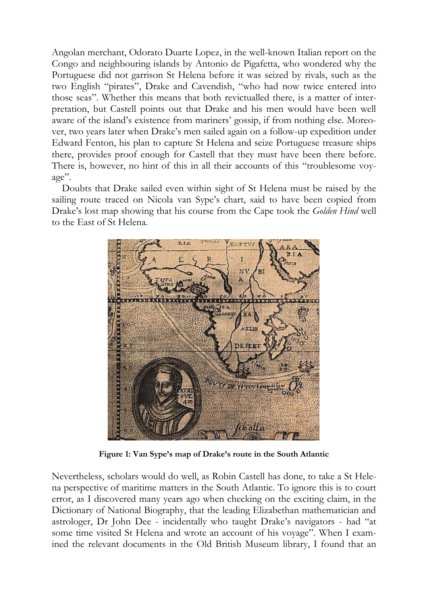Angolan merchant, Odorato Duarte Lopez, in the well-known Italian report on the Congo and neighbouring islands by Antonio de Pigafetta, who wondered why the Portuguese did not garrison St Helena before it was seized by rivals, such as the two English "pirates", Drake and Cavendish, "who had now twice entered into those seas". Whether this means that both revictualled there, is a matter of interpretation, but Castell points out that Drake and his men would have been well aware of the island's existence from mariners' gossip, if from nothing else. Moreover, two years later when Drake's men sailed again on a follow-up expedition under Edward Fenton, his plan to capture St Helena and seize Portuguese treasure ships there, provides proof enough for Castell that they must have been there before. There is, however, no hint of this in all their accounts of this "troublesome voyage".

Doubts that Drake sailed even within sight of St Helena must be raised by the sailing route traced on Nicola van Sype's chart, said to have been copied from Drake's lost map showing that his course from the Cape took the *Golden Hind* well to the East of St Helena.



**Figure 1: Van Sype's map of Drake's route in the South Atlantic**

Nevertheless, scholars would do well, as Robin Castell has done, to take a St Helena perspective of maritime matters in the South Atlantic. To ignore this is to court error, as I discovered many years ago when checking on the exciting claim, in the Dictionary of National Biography, that the leading Elizabethan mathematician and astrologer, Dr John Dee - incidentally who taught Drake's navigators - had "at some time visited St Helena and wrote an account of his voyage". When I examined the relevant documents in the Old British Museum library, I found that an